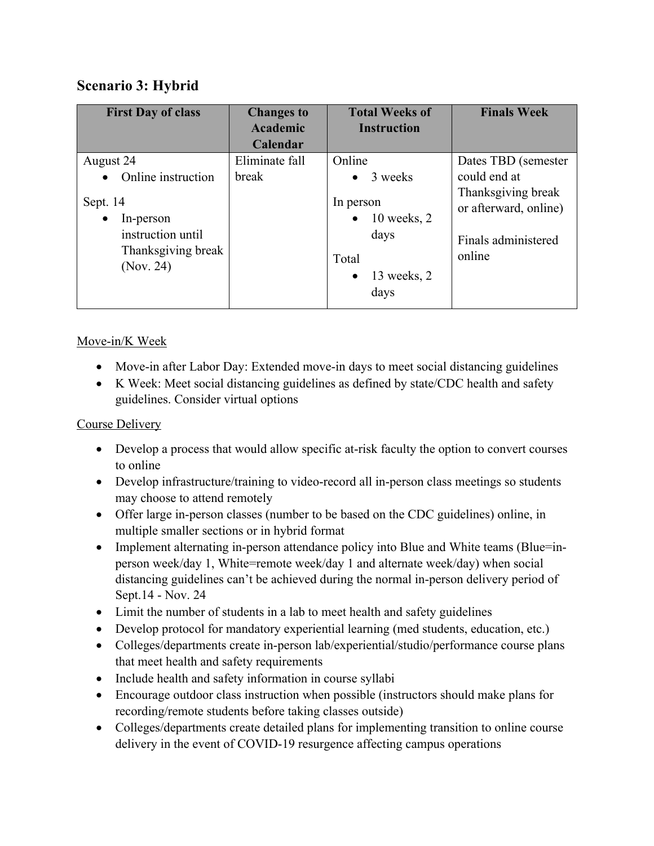# **Scenario 3: Hybrid**

| <b>First Day of class</b>                                                                                        | <b>Changes to</b><br>Academic       | <b>Total Weeks of</b><br><b>Instruction</b>                                                                                    | <b>Finals Week</b>                                                                                                  |
|------------------------------------------------------------------------------------------------------------------|-------------------------------------|--------------------------------------------------------------------------------------------------------------------------------|---------------------------------------------------------------------------------------------------------------------|
| August 24<br>Online instruction<br>Sept. 14<br>In-person<br>instruction until<br>Thanksgiving break<br>(Nov. 24) | Calendar<br>Eliminate fall<br>break | Online<br>3 weeks<br>$\bullet$<br>In person<br>$10$ weeks, 2<br>$\bullet$<br>days<br>Total<br>13 weeks, 2<br>$\bullet$<br>days | Dates TBD (semester<br>could end at<br>Thanksgiving break<br>or afterward, online)<br>Finals administered<br>online |

# Move-in/K Week

- Move-in after Labor Day: Extended move-in days to meet social distancing guidelines
- K Week: Meet social distancing guidelines as defined by state/CDC health and safety guidelines. Consider virtual options

#### Course Delivery

- Develop a process that would allow specific at-risk faculty the option to convert courses to online
- Develop infrastructure/training to video-record all in-person class meetings so students may choose to attend remotely
- Offer large in-person classes (number to be based on the CDC guidelines) online, in multiple smaller sections or in hybrid format
- Implement alternating in-person attendance policy into Blue and White teams (Blue=inperson week/day 1, White=remote week/day 1 and alternate week/day) when social distancing guidelines can't be achieved during the normal in-person delivery period of Sept.14 - Nov. 24
- Limit the number of students in a lab to meet health and safety guidelines
- Develop protocol for mandatory experiential learning (med students, education, etc.)
- Colleges/departments create in-person lab/experiential/studio/performance course plans that meet health and safety requirements
- Include health and safety information in course syllabi
- Encourage outdoor class instruction when possible (instructors should make plans for recording/remote students before taking classes outside)
- Colleges/departments create detailed plans for implementing transition to online course delivery in the event of COVID-19 resurgence affecting campus operations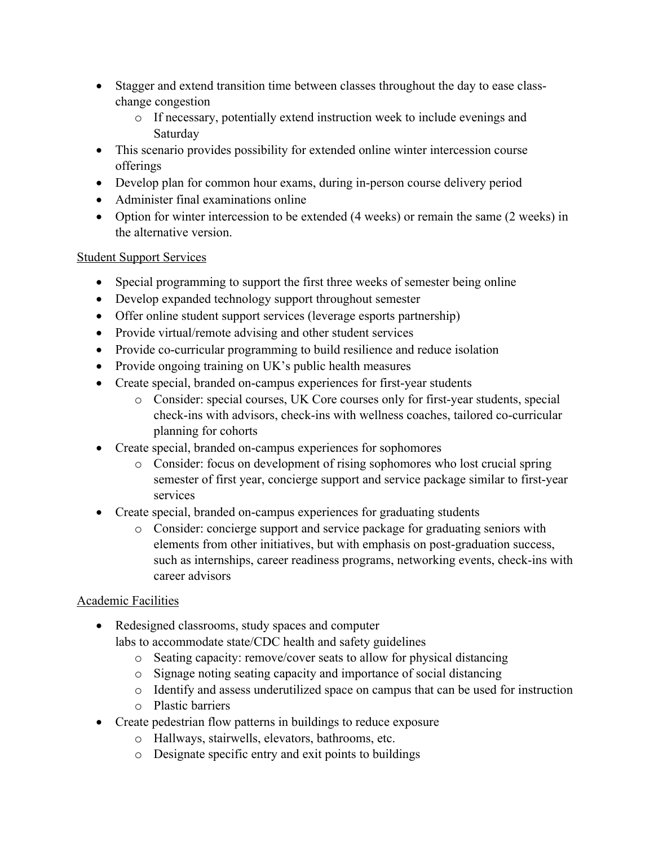- Stagger and extend transition time between classes throughout the day to ease classchange congestion
	- o If necessary, potentially extend instruction week to include evenings and Saturday
- This scenario provides possibility for extended online winter intercession course offerings
- Develop plan for common hour exams, during in-person course delivery period
- Administer final examinations online
- Option for winter intercession to be extended (4 weeks) or remain the same (2 weeks) in the alternative version.

### Student Support Services

- Special programming to support the first three weeks of semester being online
- Develop expanded technology support throughout semester
- Offer online student support services (leverage esports partnership)
- Provide virtual/remote advising and other student services
- Provide co-curricular programming to build resilience and reduce isolation
- Provide ongoing training on UK's public health measures
- Create special, branded on-campus experiences for first-year students
	- o Consider: special courses, UK Core courses only for first-year students, special check-ins with advisors, check-ins with wellness coaches, tailored co-curricular planning for cohorts
- Create special, branded on-campus experiences for sophomores
	- o Consider: focus on development of rising sophomores who lost crucial spring semester of first year, concierge support and service package similar to first-year services
- Create special, branded on-campus experiences for graduating students
	- o Consider: concierge support and service package for graduating seniors with elements from other initiatives, but with emphasis on post-graduation success, such as internships, career readiness programs, networking events, check-ins with career advisors

# Academic Facilities

- Redesigned classrooms, study spaces and computer labs to accommodate state/CDC health and safety guidelines
	- o Seating capacity: remove/cover seats to allow for physical distancing
	- o Signage noting seating capacity and importance of social distancing
	- o Identify and assess underutilized space on campus that can be used for instruction
	- o Plastic barriers
- Create pedestrian flow patterns in buildings to reduce exposure
	- o Hallways, stairwells, elevators, bathrooms, etc.
	- o Designate specific entry and exit points to buildings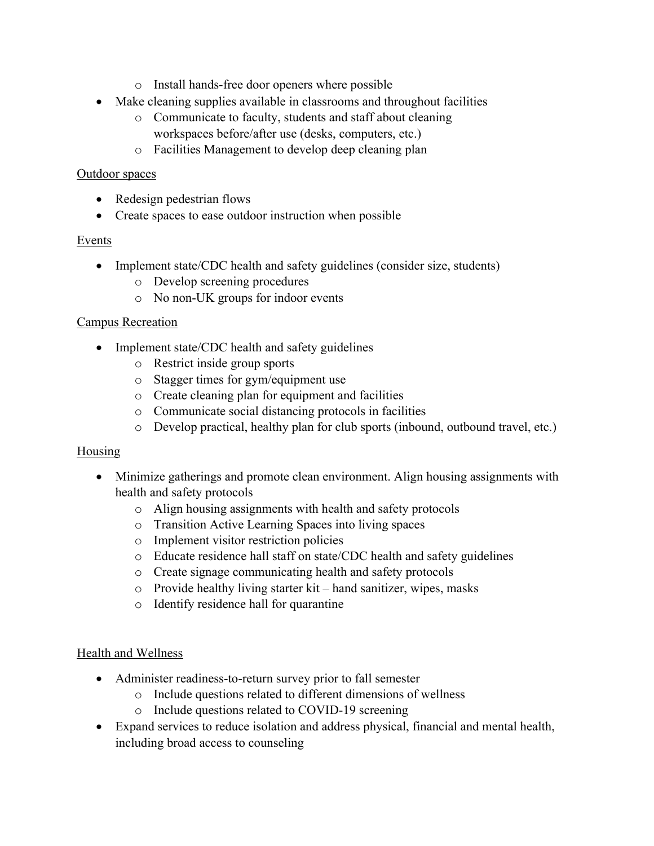- o Install hands-free door openers where possible
- Make cleaning supplies available in classrooms and throughout facilities
	- o Communicate to faculty, students and staff about cleaning workspaces before/after use (desks, computers, etc.)
	- o Facilities Management to develop deep cleaning plan

#### Outdoor spaces

- Redesign pedestrian flows
- Create spaces to ease outdoor instruction when possible

### Events

- Implement state/CDC health and safety guidelines (consider size, students)
	- o Develop screening procedures
	- o No non-UK groups for indoor events

#### Campus Recreation

- Implement state/CDC health and safety guidelines
	- o Restrict inside group sports
	- o Stagger times for gym/equipment use
	- o Create cleaning plan for equipment and facilities
	- o Communicate social distancing protocols in facilities
	- o Develop practical, healthy plan for club sports (inbound, outbound travel, etc.)

#### **Housing**

- Minimize gatherings and promote clean environment. Align housing assignments with health and safety protocols
	- o Align housing assignments with health and safety protocols
	- o Transition Active Learning Spaces into living spaces
	- o Implement visitor restriction policies
	- o Educate residence hall staff on state/CDC health and safety guidelines
	- o Create signage communicating health and safety protocols
	- o Provide healthy living starter kit hand sanitizer, wipes, masks
	- o Identify residence hall for quarantine

#### Health and Wellness

- Administer readiness-to-return survey prior to fall semester
	- o Include questions related to different dimensions of wellness
	- o Include questions related to COVID-19 screening
- Expand services to reduce isolation and address physical, financial and mental health, including broad access to counseling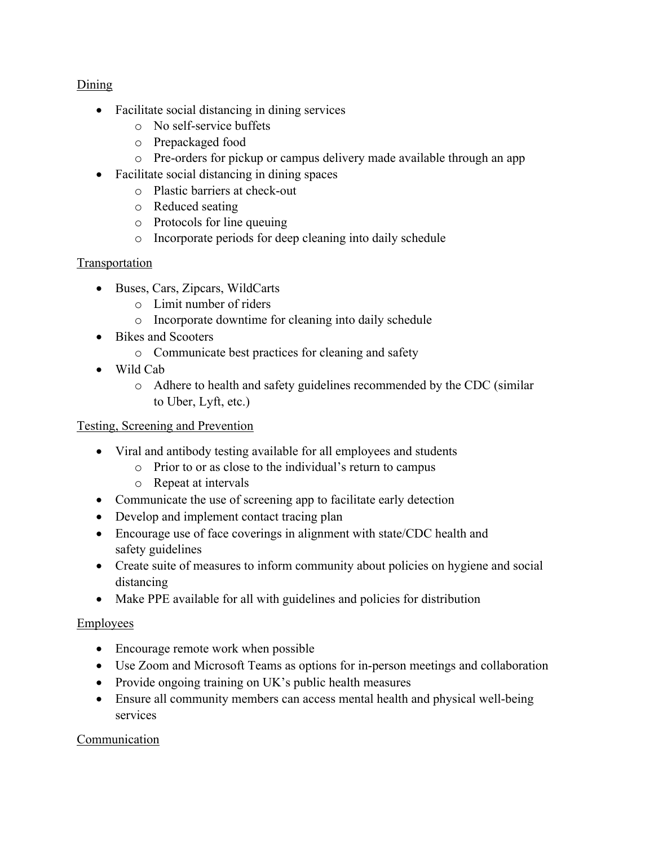#### Dining

- Facilitate social distancing in dining services
	- o No self-service buffets
	- o Prepackaged food
	- o Pre-orders for pickup or campus delivery made available through an app
- Facilitate social distancing in dining spaces
	- o Plastic barriers at check-out
	- o Reduced seating
	- o Protocols for line queuing
	- o Incorporate periods for deep cleaning into daily schedule

# **Transportation**

- Buses, Cars, Zipcars, WildCarts
	- o Limit number of riders
	- o Incorporate downtime for cleaning into daily schedule
- Bikes and Scooters
	- o Communicate best practices for cleaning and safety
- Wild Cab
	- o Adhere to health and safety guidelines recommended by the CDC (similar to Uber, Lyft, etc.)

# Testing, Screening and Prevention

- Viral and antibody testing available for all employees and students
	- o Prior to or as close to the individual's return to campus
	- o Repeat at intervals
- Communicate the use of screening app to facilitate early detection
- Develop and implement contact tracing plan
- Encourage use of face coverings in alignment with state/CDC health and safety guidelines
- Create suite of measures to inform community about policies on hygiene and social distancing
- Make PPE available for all with guidelines and policies for distribution

# Employees

- Encourage remote work when possible
- Use Zoom and Microsoft Teams as options for in-person meetings and collaboration
- Provide ongoing training on UK's public health measures
- Ensure all community members can access mental health and physical well-being services

# **Communication**